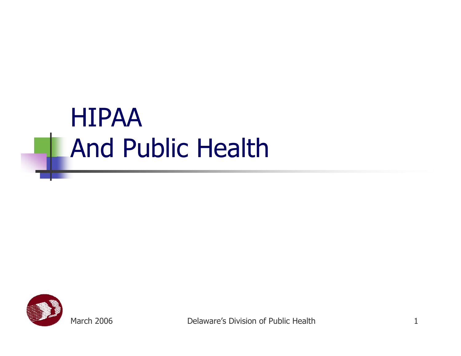#### HIPAA And Public Health

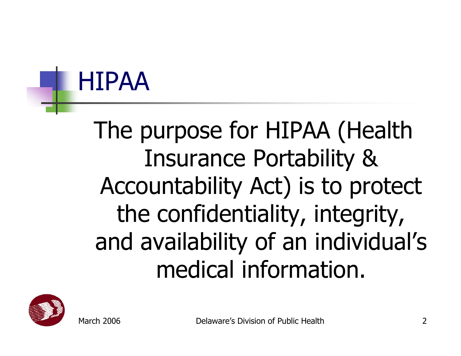#### HIPAA

#### The purpose for HIPAA (Health Insurance Portability & Accountability Act) is to protect the confidentiality, integrity, and availability of an individual's medical information.

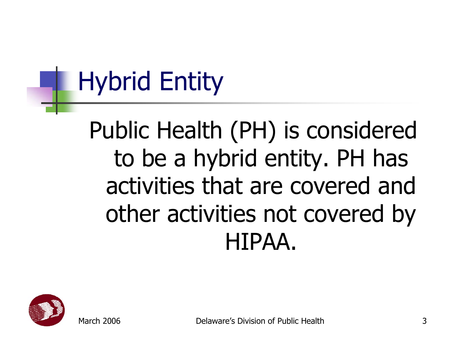# Hybrid Entity

Public Health (PH) is considered to be a hybrid entity. PH has activities that are covered and other activities not covered by HIPAA.

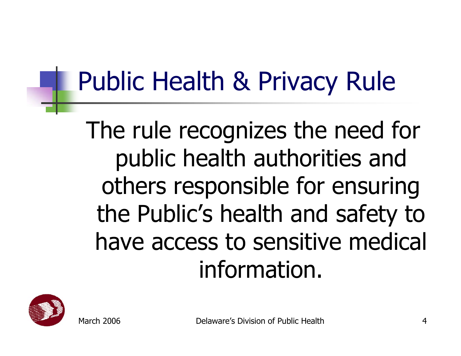## Public Health & Privacy Rule

The rule recognizes the need for public health authorities and others responsible for ensuring the Public's health and safety to have access to sensitive medical information.

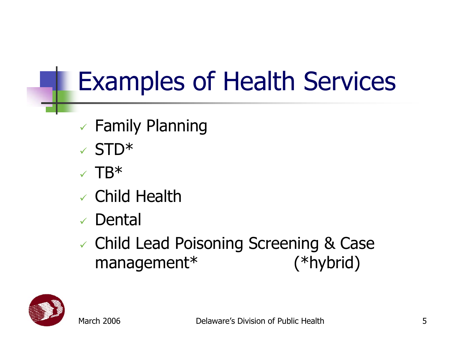# Examples of Health Services

- $\times$  Family Planning
- $\times$  STD\*
- $\times$  TB\*
- $\checkmark$  Child Health
- $\checkmark$ Dental
- 9 Child Lead Poisoning Screening & Case management\* (\*hybrid)

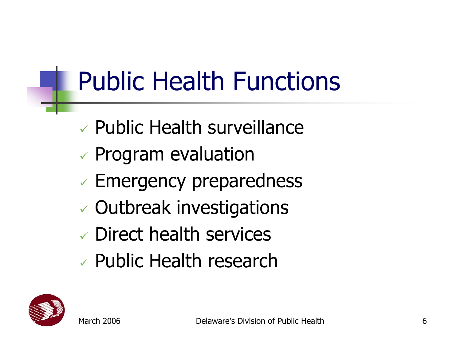# Public Health Functions

- $\checkmark$ Public Health surveillance
- $\checkmark$ Program evaluation
- $\checkmark$ Emergency preparedness
- $\checkmark$ Outbreak investigations
- 9 Direct health services
- 9 Public Health research

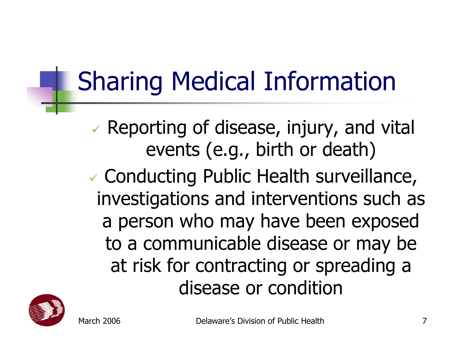# Sharing Medical Information

- $\checkmark$  Reporting of disease, injury, and vital events (e.g., birth or death)
- $\checkmark$  Conducting Public Health surveillance, investigations and interventions such as a person who may have been exposed to a communicable disease or may be at risk for contracting or spreading a disease or condition



March 2006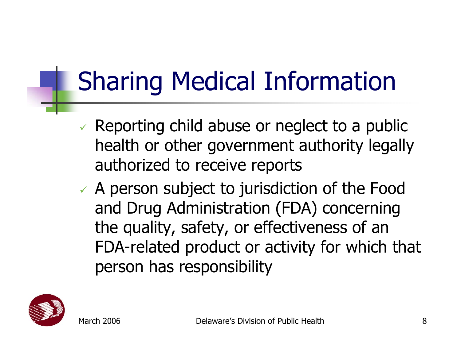# Sharing Medical Information

- $\vee$  Reporting child abuse or neglect to a public health or other government authority legally authorized to receive reports
- $\checkmark$  A person subject to jurisdiction of the Food and Drug Administration (FDA) concerning the quality, safety, or effectiveness of an FDA-related product or activity for which that person has responsibility

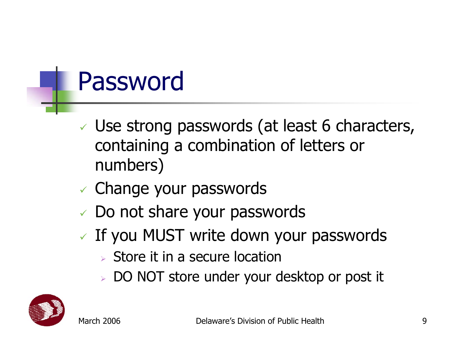#### Password

- $\checkmark$  Use strong passwords (at least 6 characters, containing a combination of letters or numbers)
- $\checkmark$  Change your passwords
- $\checkmark$  Do not share your passwords
- $\checkmark$  If you MUST write down your passwords
	- ¾ Store it in a secure location
	- ¾ DO NOT store under your desktop or post it

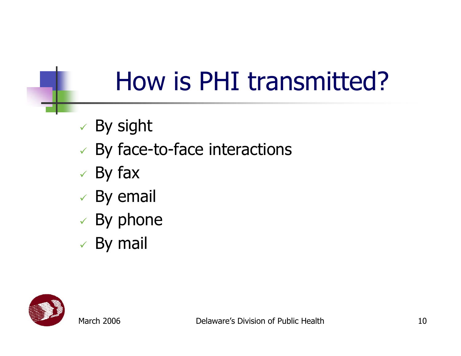## How is PHI transmitted?

- $\checkmark\,$  By sight
- $\checkmark$  By face-to-face interactions
- $\checkmark$  By fax
- $\checkmark$  By email
- $\checkmark$  By phone
- $\checkmark$  By mail

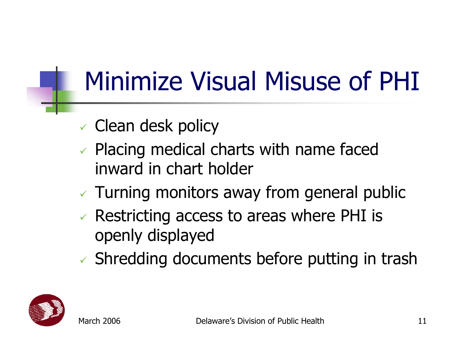#### Minimize Visual Misuse of PHI

- $\checkmark$  Clean desk policy
- $\vee$  Placing medical charts with name faced inward in chart holder
- $\checkmark$  Turning monitors away from general public
- $\checkmark$  Restricting access to areas where PHI is openly displayed
- $\checkmark$  Shredding documents before putting in trash

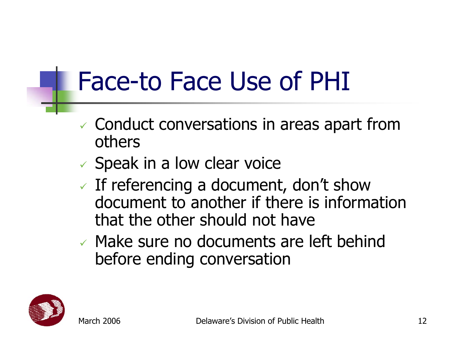#### Face-to Face Use of PHI

- $\checkmark$  Conduct conversations in areas apart from others
- $\checkmark$  Speak in a low clear voice
- $\checkmark$  If referencing a document, don't show document to another if there is information that the other should not have
- $\vee$  Make sure no documents are left behind before ending conversation

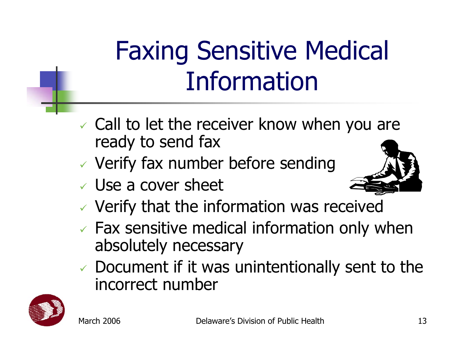# Faxing Sensitive Medical Information

- $\checkmark$  Call to let the receiver know when you are ready to send fax
- $\checkmark$  Verify fax number before sending
- $\checkmark$  Use a cover sheet



- $\checkmark$  Verify that the information was received
- $\checkmark$  Fax sensitive medical information only when absolutely necessary
- $\checkmark$  Document if it was unintentionally sent to the incorrect number

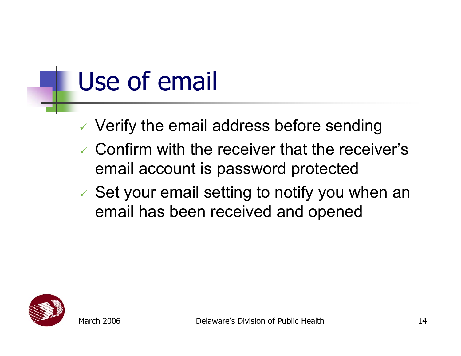#### Use of email

- $\checkmark$  Verify the email address before sending
- $\checkmark$  Confirm with the receiver that the receiver's email account is password protected
- $\checkmark$  Set your email setting to notify you when an email has been received and opened

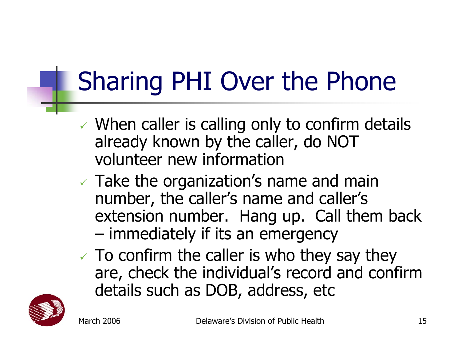# Sharing PHI Over the Phone

- $\checkmark$  When caller is calling only to confirm details already known by the caller, do NOT volunteer new information
- $\checkmark$  Take the organization's name and main number, the caller's name and caller's extension number. Hang up. Call them back –immediately if its an emergency
- $\checkmark$  To confirm the caller is who they say they are, check the individual's record and confirm details such as DOB, address, etc

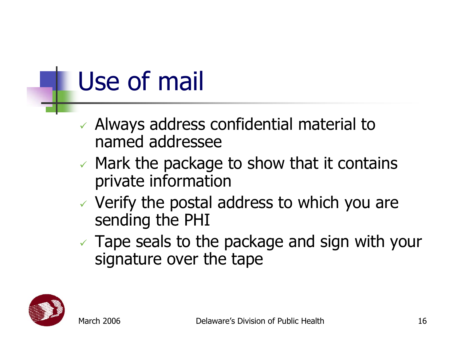#### Use of mail

- $\checkmark$  Always address confidential material to named addressee
- $\checkmark$  Mark the package to show that it contains private information
- $\checkmark$  Verify the postal address to which you are sending the PHI
- $\checkmark$  Tape seals to the package and sign with your signature over the tape

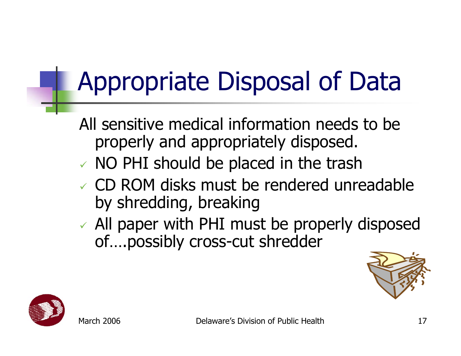# Appropriate Disposal of Data

All sensitive medical information needs to be properly and appropriately disposed.

- $\checkmark$  NO PHI should be placed in the trash
- $\vee$  CD ROM disks must be rendered unreadable by shredding, breaking
- $\checkmark$  All paper with PHI must be properly disposed of….possibly cross-cut shredder



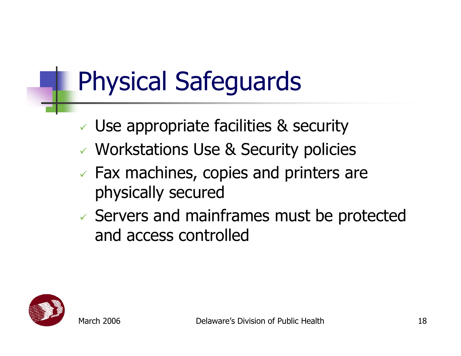# Physical Safeguards

- $\checkmark$  Use appropriate facilities & security
- 9 Workstations Use & Security policies
- $\sqrt{2}$  Fax machines, copies and printers are physically secured
- $\checkmark$  Servers and mainframes must be protected and access controlled

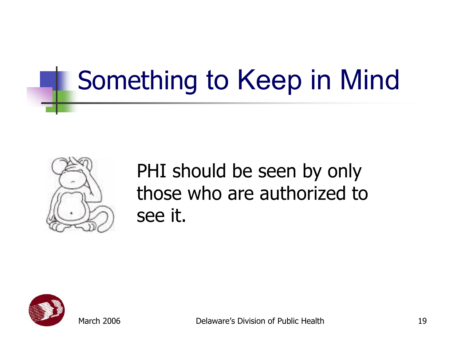# Something to Keep in Mind



#### PHI should be seen by only those who are authorized to see it.



March 2006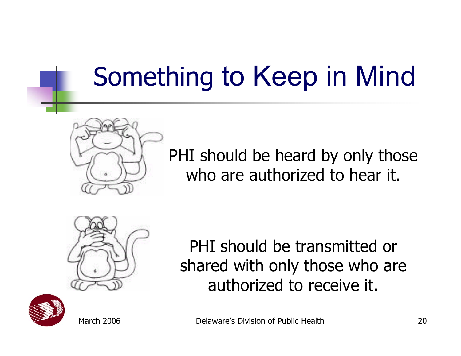# Something to Keep in Mind



PHI should be heard by only those who are authorized to hear it.



PHI should be transmitted or shared with only those who are authorized to receive it.



March 2006

Delaware's Division of Public Health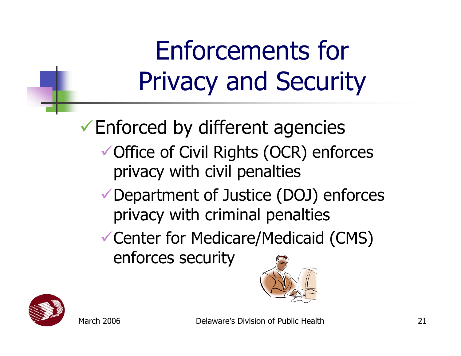Enforcements for Privacy and Security

 $\checkmark$  Enforced by different agencies ◆ Office of Civil Rights (OCR) enforces privacy with civil penalties

- $\checkmark$  Department of Justice (DOJ) enforces privacy with criminal penalties
- Center for Medicare/Medicaid (CMS) enforces security



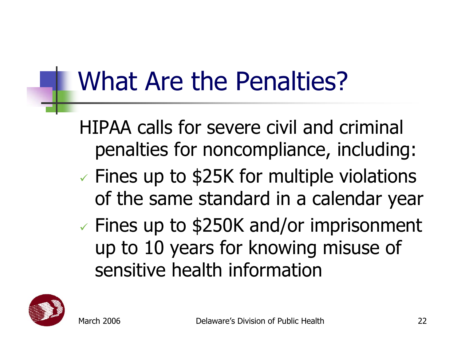#### What Are the Penalties?

- HIPAA calls for severe civil and criminal penalties for noncompliance, including:
- $\checkmark$  $\checkmark$  Fines up to \$25K for multiple violations of the same standard in a calendar year
- $\checkmark$  $\checkmark$  Fines up to \$250K and/or imprisonment up to 10 years for knowing misuse of sensitive health information

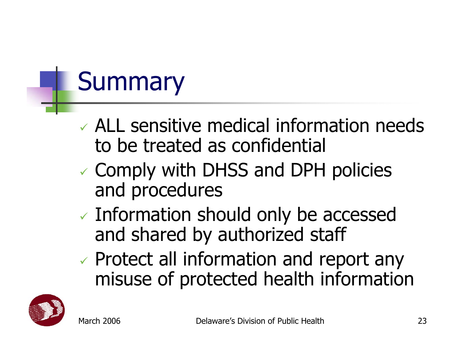# **Summary**

- $\vee$  ALL sensitive medical information needs to be treated as confidential
- $\checkmark$  Comply with DHSS and DPH policies and procedures
- $\checkmark$  Information should only be accessed and shared by authorized staff
- $\checkmark$  Protect all information and report any misuse of protected health information

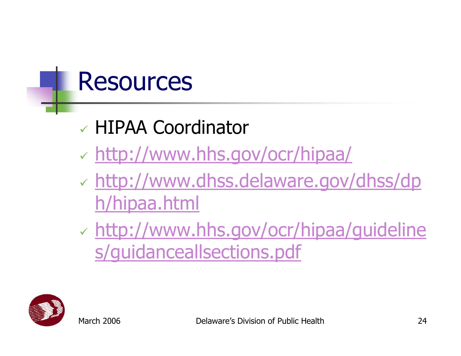#### Resources

- 9 HIPAA Coordinator
- $\checkmark$ <http://www.hhs.gov/ocr/hipaa/>
- $\checkmark$  [http://www.dhss.delaware.gov/dhss/dp](http://www.dhss.delaware.gov/dhss/dph/hipaa.html) [h/hipaa.html](http://www.dhss.delaware.gov/dhss/dph/hipaa.html)
- $\checkmark$  [http://www.hhs.gov/ocr/hipaa/guideline](http://www.hhs.gov/ocr/hipaa/guidelines/guidanceallsections.pdf) [s/guidanceallsections.pdf](http://www.hhs.gov/ocr/hipaa/guidelines/guidanceallsections.pdf)